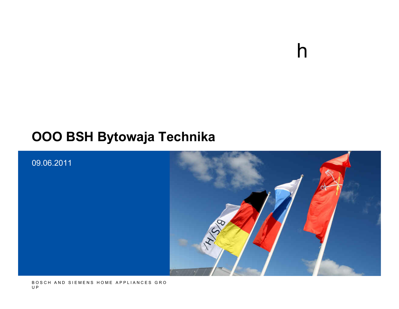### **OOO BSH Bytowaja Technika**



h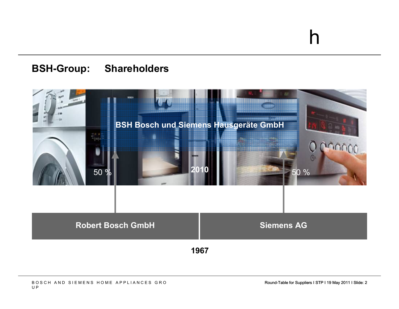#### **BSH-Group: Shareholders**

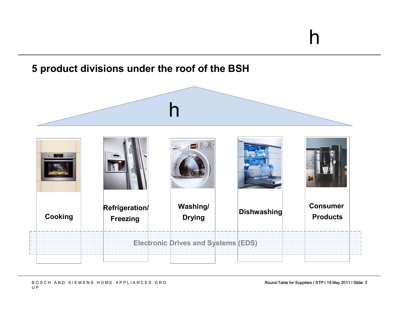### h**CookingRefrigeration/Freezing Washing/Drying Dishwashing Consumer ProductsElectronic Drives and Systems (EDS)**

#### **5 product divisions under the roof of the BSH**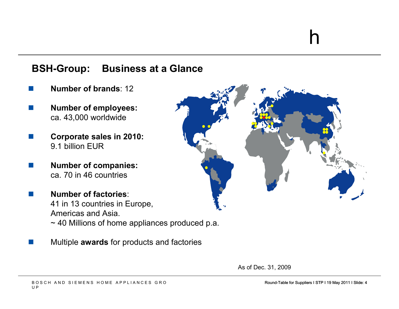#### **BSH-Group: Business at a Glance**

- **Contract Number of brands**: 12
- F. **Number of employees:**  ca. 43,000 worldwide
- F. **Corporate sales in 2010:** 9.1 billion EUR
- F. **Number of companies:** ca. 70 in 46 countries

F.

 **Number of factories**: 41 in 13 countries in Europe, Americas and Asia.~ 40 Millions of home appliances produced p.a.

Multiple **awards** for products and factories



As of Dec. 31, 2009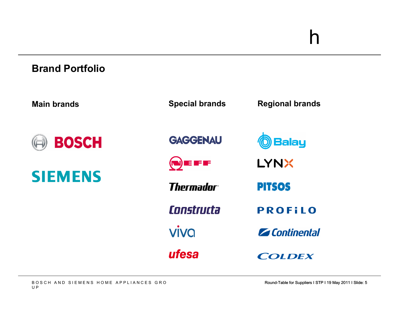#### **Brand Portfolio**

| <b>Main brands</b> | <b>Special brands</b> | <b>Regional brands</b> |
|--------------------|-----------------------|------------------------|
| <b>BOSCH</b>       | <b>GAGGENAU</b>       | <b>Balay</b>           |
| <b>SIEMENS</b>     | $(\bullet)$ if if if  | <b>LYNX</b>            |
|                    | <b>Thermador</b> ®    | <b>PITSOS</b>          |
|                    | Constructa            | <b>PROFILO</b>         |
|                    | <b>VIVQ</b>           | <b>Z</b> Continental   |
|                    | ufesa                 | <b>COLDEX</b>          |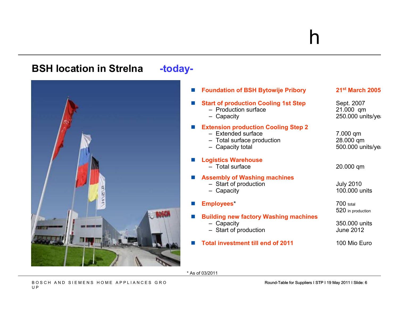#### **BSH location in Strelna -today-**L **Foundation of BSH Bytowije Pribory <sup>21</sup>st March 2005** L **Start of production Cooling 1st Step** Sept. 2007<br>- Production surface 21.000 gm – Production surface 21.000 qmCapacity 250.000 units/year 250.000 units/year - Capacity F **Extension production Cooling Step 2** - Extended surface Extended surface 7.000 qm– Total surface production 28.000 qm28.000 qm Capacity total 600.000 units/year of the state of the 500.000 units/year of the S - Capacity total H. **Logistics Warehouse** - Total surface 20.000 qm H. **Assembly of Washing machines** – Start of production July 2010 - Capacity  $100.000$  units H. **Employees\*** 700 total 520 in productionH. **Building new factory Washing machines** - Capacity Capacity 350.000 units – Start of production June 2012 H. **Total investment till end of 2011** 100 Mio Euro

\* As of 03/2011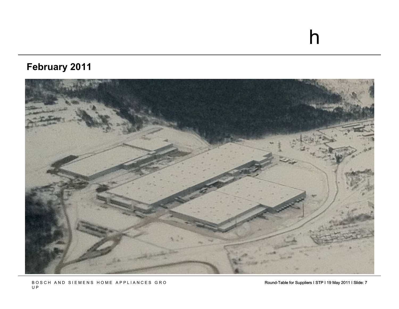### **February 2011**



Round-Table for Suppliers I STP I 19 May 2011 I Slide: 7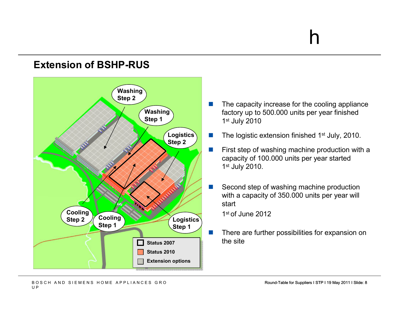#### **Extension of BSHP-RUS**



- F. The capacity increase for the cooling appliance factory up to 500.000 units per year finished 1st July 2010
- $\mathcal{C}^{\mathcal{A}}$ The logistic extension finished 1<sup>st</sup> July, 2010.
- $\sim$  First step of washing machine production with a capacity of 100.000 units per year started 1st July 2010.
- $\mathcal{C}^{\mathcal{A}}$  Second step of washing machine production with a capacity of 350.000 units per year will start

1st of June 2012

 $\mathcal{C}^{\mathcal{A}}$  There are further possibilities for expansion on the site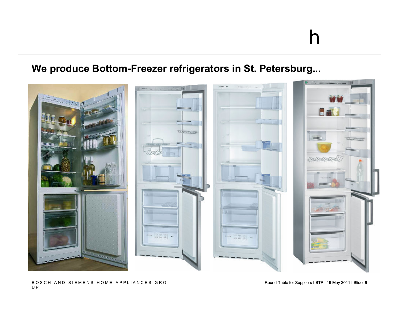#### **We produce Bottom-Freezer refrigerators in St. Petersburg...**

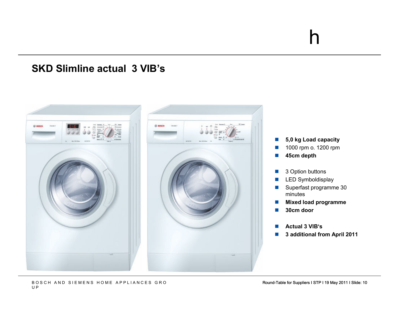#### **SKD Slimline actual 3 VIB's**

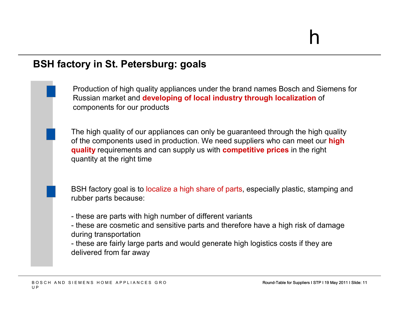#### **BSH factory in St. Petersburg: goals**

Production of high quality appliances under the brand names Bosch and Siemens for Russian market and **developing of local industry through localization** of components for our products

The high quality of our appliances can only be guaranteed through the high quality of the components used in production. We need suppliers who can meet our **high quality** requirements and can supply us with **competitive prices** in the right quantity at the right time

BSH factory goal is to localize a high share of parts, especially plastic, stamping and rubber parts because:

- these are parts with high number of different variants<br>these are esemptic and cannitive parts and therefore
- these are cosmetic and sensitive parts and therefore have a high risk of damage<br>during transportation during transportation
- these are fairly large parts and would generate high logistics costs if they are<br>delivered from for avay. delivered from far away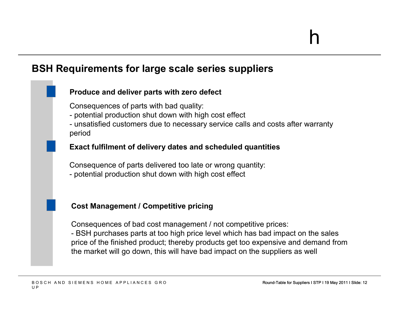#### **BSH Requirements for large scale series suppliers**

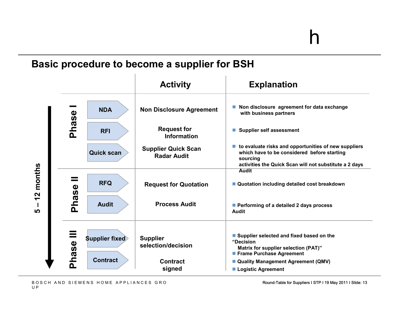#### **Basic procedure to become a supplier for BSH**

|                                                                                |            |                           | <b>Activity</b>                                  | <b>Explanation</b>                                                                                                                                                        |
|--------------------------------------------------------------------------------|------------|---------------------------|--------------------------------------------------|---------------------------------------------------------------------------------------------------------------------------------------------------------------------------|
| months<br>$\boldsymbol{\mathsf{N}}$<br>$\blacktriangledown$<br>п<br><u> LO</u> |            | <b>NDA</b>                | <b>Non Disclosure Agreement</b>                  | ■ Non disclosure agreement for data exchange<br>with business partners                                                                                                    |
|                                                                                | Phase      | <b>RFI</b>                | <b>Request for</b><br><b>Information</b>         | <b>Supplier self assessment</b>                                                                                                                                           |
|                                                                                |            | <b>Quick scan</b>         | <b>Supplier Quick Scan</b><br><b>Radar Audit</b> | to evaluate risks and opportunities of new suppliers<br>which have to be considered before starting<br>sourcing<br>activities the Quick Scan will not substitute a 2 days |
|                                                                                |            | <b>RFQ</b>                | <b>Request for Quotation</b>                     | <b>Audit</b><br>■ Quotation including detailed cost breakdown                                                                                                             |
|                                                                                | Phase      | <b>Audit</b>              | <b>Process Audit</b>                             | ■ Performing of a detailed 2 days process<br><b>Audit</b>                                                                                                                 |
|                                                                                | ▀<br>Phase | <b>Supplier fixed&gt;</b> | <b>Supplier</b><br>selection/decision            | ■ Supplier selected and fixed based on the<br>"Decision<br>Matrix for supplier selection (PAT)"<br><b>Frame Purchase Agreement</b>                                        |
|                                                                                |            | <b>Contract</b>           | <b>Contract</b><br>signed                        | ■ Quality Management Agreement (QMV)<br>■ Logistic Agreement                                                                                                              |

Round-Table for Suppliers I STP I 19 May 2011 I Slide: 13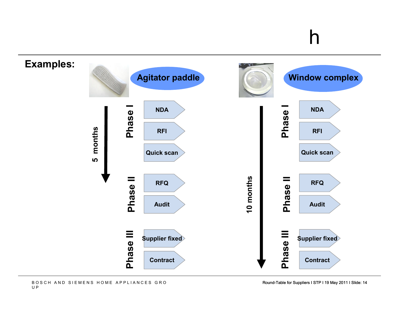

Round-Table for Suppliers I STP I 19 May 2011 I Slide: 14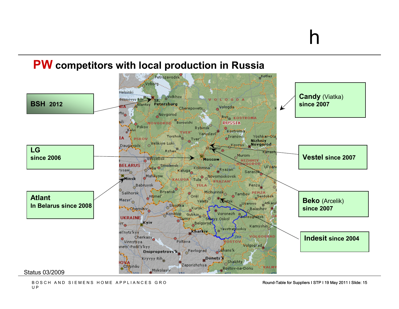## **PW competitors with local production in Russia**

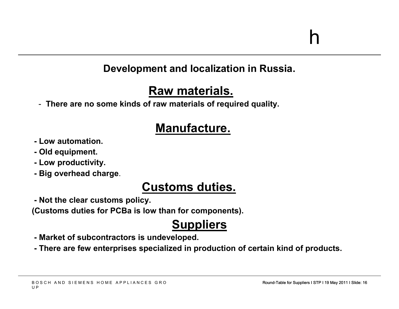#### **Development and localization in Russia.**

### **Raw materials.**

- **There are no some kinds of raw materials of required quality.** 

### **Manufacture.**

- **- Low automation.**
- **- Old equipment.**
- **- Low productivity.**
- **- Big overhead charge**.

### **Customs duties.**

**- Not the clear customs policy.**

**(Customs duties for PCBa is low than for components).**

### **Suppliers**

- **- Market of subcontractors is undeveloped.**
- **- There are few enterprises specialized in production of certain kind of products.**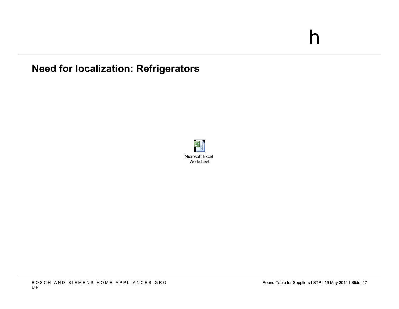#### **Need for localization: Refrigerators**

![](_page_16_Picture_2.jpeg)